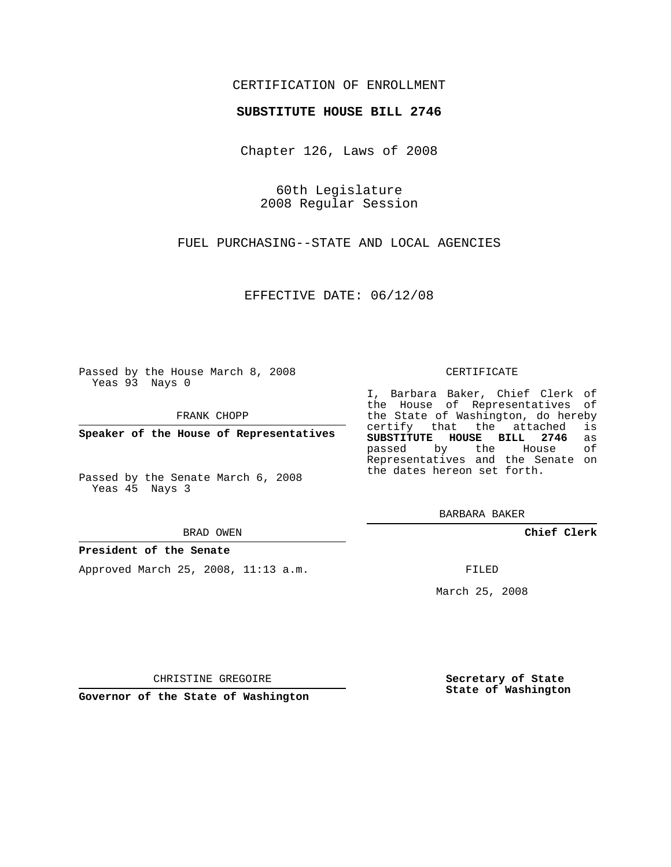# CERTIFICATION OF ENROLLMENT

## **SUBSTITUTE HOUSE BILL 2746**

Chapter 126, Laws of 2008

60th Legislature 2008 Regular Session

FUEL PURCHASING--STATE AND LOCAL AGENCIES

EFFECTIVE DATE: 06/12/08

Passed by the House March 8, 2008 Yeas 93 Nays 0

FRANK CHOPP

**Speaker of the House of Representatives**

Passed by the Senate March 6, 2008 Yeas 45 Nays 3

#### BRAD OWEN

### **President of the Senate**

Approved March 25, 2008, 11:13 a.m.

#### CERTIFICATE

I, Barbara Baker, Chief Clerk of the House of Representatives of the State of Washington, do hereby<br>certify that the attached is certify that the attached **SUBSTITUTE HOUSE BILL 2746** as passed by the House Representatives and the Senate on the dates hereon set forth.

BARBARA BAKER

**Chief Clerk**

FILED

March 25, 2008

**Secretary of State State of Washington**

CHRISTINE GREGOIRE

**Governor of the State of Washington**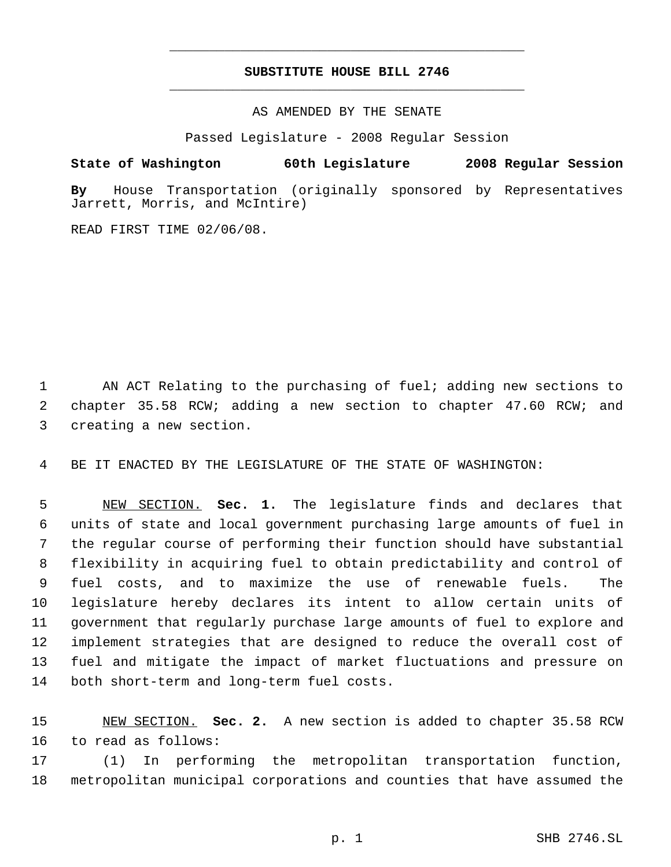# **SUBSTITUTE HOUSE BILL 2746** \_\_\_\_\_\_\_\_\_\_\_\_\_\_\_\_\_\_\_\_\_\_\_\_\_\_\_\_\_\_\_\_\_\_\_\_\_\_\_\_\_\_\_\_\_

\_\_\_\_\_\_\_\_\_\_\_\_\_\_\_\_\_\_\_\_\_\_\_\_\_\_\_\_\_\_\_\_\_\_\_\_\_\_\_\_\_\_\_\_\_

AS AMENDED BY THE SENATE

Passed Legislature - 2008 Regular Session

**State of Washington 60th Legislature 2008 Regular Session**

**By** House Transportation (originally sponsored by Representatives Jarrett, Morris, and McIntire)

READ FIRST TIME 02/06/08.

 AN ACT Relating to the purchasing of fuel; adding new sections to chapter 35.58 RCW; adding a new section to chapter 47.60 RCW; and creating a new section.

BE IT ENACTED BY THE LEGISLATURE OF THE STATE OF WASHINGTON:

 NEW SECTION. **Sec. 1.** The legislature finds and declares that units of state and local government purchasing large amounts of fuel in the regular course of performing their function should have substantial flexibility in acquiring fuel to obtain predictability and control of fuel costs, and to maximize the use of renewable fuels. The legislature hereby declares its intent to allow certain units of government that regularly purchase large amounts of fuel to explore and implement strategies that are designed to reduce the overall cost of fuel and mitigate the impact of market fluctuations and pressure on both short-term and long-term fuel costs.

 NEW SECTION. **Sec. 2.** A new section is added to chapter 35.58 RCW to read as follows:

 (1) In performing the metropolitan transportation function, metropolitan municipal corporations and counties that have assumed the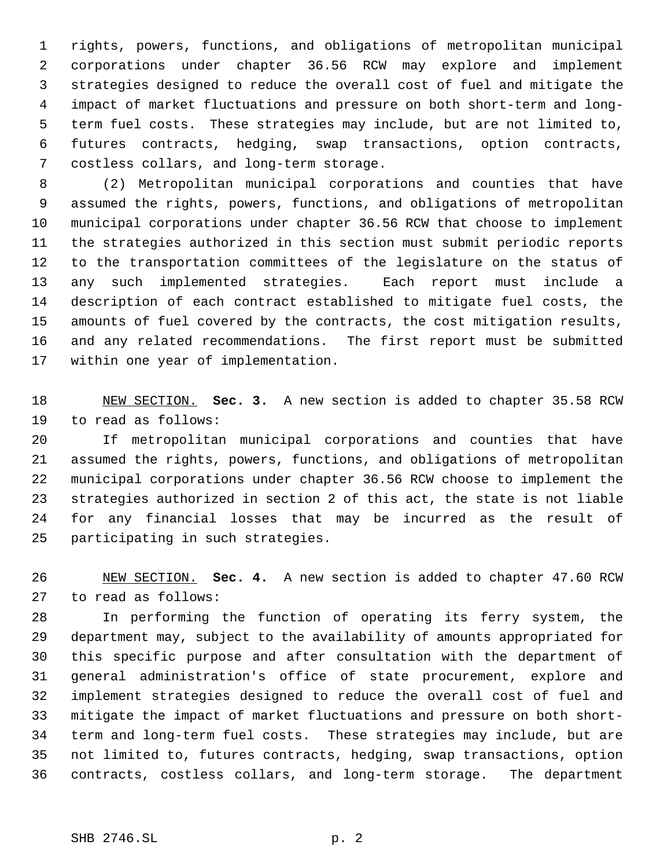rights, powers, functions, and obligations of metropolitan municipal corporations under chapter 36.56 RCW may explore and implement strategies designed to reduce the overall cost of fuel and mitigate the impact of market fluctuations and pressure on both short-term and long- term fuel costs. These strategies may include, but are not limited to, futures contracts, hedging, swap transactions, option contracts, costless collars, and long-term storage.

 (2) Metropolitan municipal corporations and counties that have assumed the rights, powers, functions, and obligations of metropolitan municipal corporations under chapter 36.56 RCW that choose to implement the strategies authorized in this section must submit periodic reports to the transportation committees of the legislature on the status of any such implemented strategies. Each report must include a description of each contract established to mitigate fuel costs, the amounts of fuel covered by the contracts, the cost mitigation results, and any related recommendations. The first report must be submitted within one year of implementation.

 NEW SECTION. **Sec. 3.** A new section is added to chapter 35.58 RCW to read as follows:

 If metropolitan municipal corporations and counties that have assumed the rights, powers, functions, and obligations of metropolitan municipal corporations under chapter 36.56 RCW choose to implement the strategies authorized in section 2 of this act, the state is not liable for any financial losses that may be incurred as the result of participating in such strategies.

 NEW SECTION. **Sec. 4.** A new section is added to chapter 47.60 RCW to read as follows:

 In performing the function of operating its ferry system, the department may, subject to the availability of amounts appropriated for this specific purpose and after consultation with the department of general administration's office of state procurement, explore and implement strategies designed to reduce the overall cost of fuel and mitigate the impact of market fluctuations and pressure on both short- term and long-term fuel costs. These strategies may include, but are not limited to, futures contracts, hedging, swap transactions, option contracts, costless collars, and long-term storage. The department